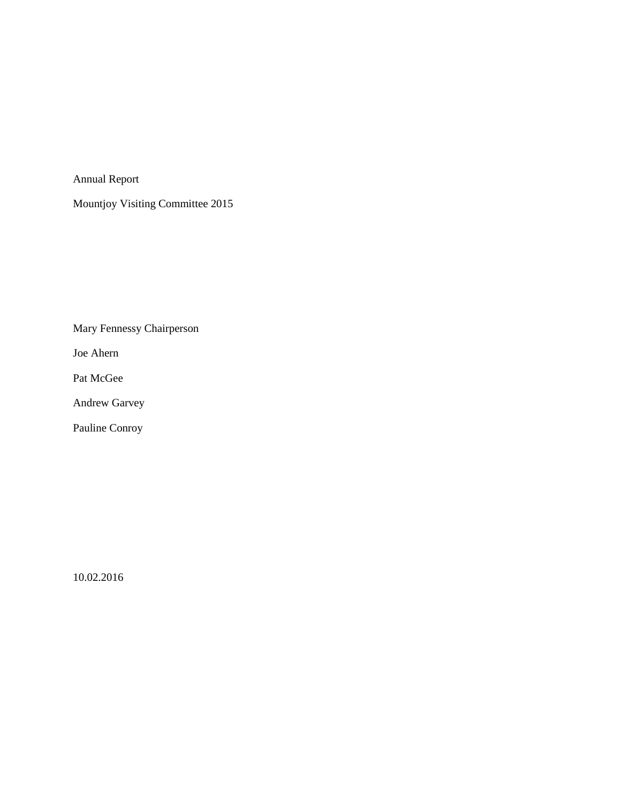Annual Report

Mountjoy Visiting Committee 2015

Mary Fennessy Chairperson

Joe Ahern

Pat McGee

Andrew Garvey

Pauline Conroy

10.02.2016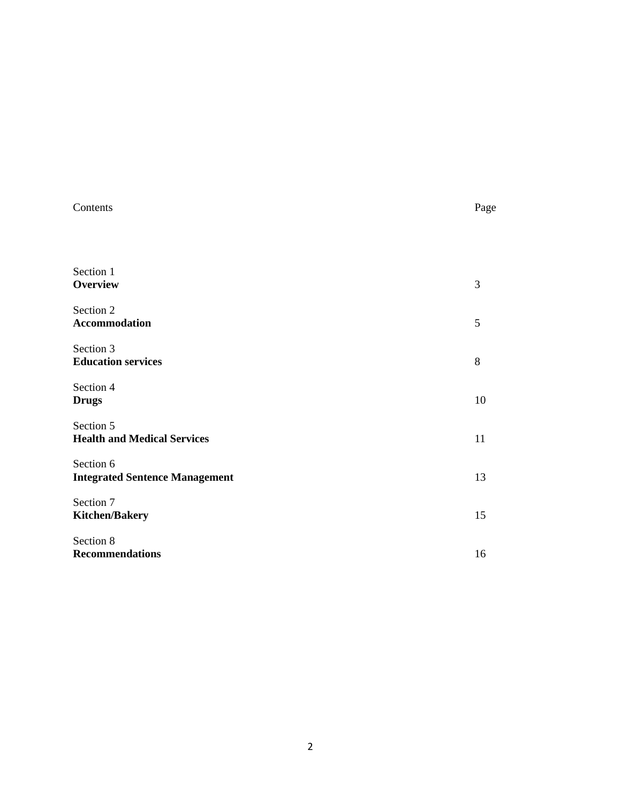| Contents                                           | Page |
|----------------------------------------------------|------|
| Section 1<br><b>Overview</b>                       | 3    |
| Section 2<br>Accommodation                         | 5    |
| Section 3<br><b>Education services</b>             | 8    |
| Section 4<br><b>Drugs</b>                          | 10   |
| Section 5<br><b>Health and Medical Services</b>    | 11   |
| Section 6<br><b>Integrated Sentence Management</b> | 13   |
| Section 7<br><b>Kitchen/Bakery</b>                 | 15   |
| Section 8<br><b>Recommendations</b>                | 16   |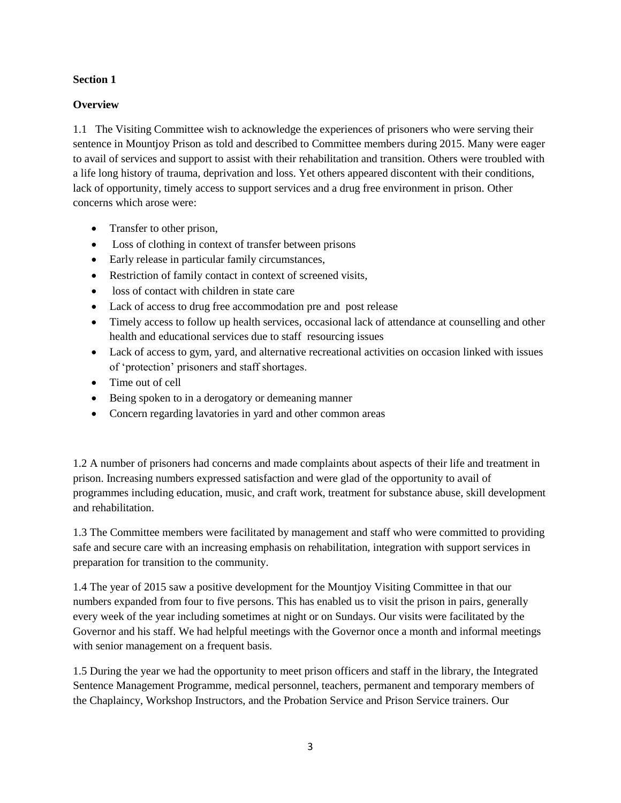# **Overview**

1.1 The Visiting Committee wish to acknowledge the experiences of prisoners who were serving their sentence in Mountjoy Prison as told and described to Committee members during 2015. Many were eager to avail of services and support to assist with their rehabilitation and transition. Others were troubled with a life long history of trauma, deprivation and loss. Yet others appeared discontent with their conditions, lack of opportunity, timely access to support services and a drug free environment in prison. Other concerns which arose were:

- Transfer to other prison,
- Loss of clothing in context of transfer between prisons
- Early release in particular family circumstances,
- Restriction of family contact in context of screened visits,
- loss of contact with children in state care
- Lack of access to drug free accommodation pre and post release
- Timely access to follow up health services, occasional lack of attendance at counselling and other health and educational services due to staff resourcing issues
- Lack of access to gym, yard, and alternative recreational activities on occasion linked with issues of 'protection' prisoners and staff shortages.
- Time out of cell
- Being spoken to in a derogatory or demeaning manner
- Concern regarding lavatories in yard and other common areas

1.2 A number of prisoners had concerns and made complaints about aspects of their life and treatment in prison. Increasing numbers expressed satisfaction and were glad of the opportunity to avail of programmes including education, music, and craft work, treatment for substance abuse, skill development and rehabilitation.

1.3 The Committee members were facilitated by management and staff who were committed to providing safe and secure care with an increasing emphasis on rehabilitation, integration with support services in preparation for transition to the community.

1.4 The year of 2015 saw a positive development for the Mountjoy Visiting Committee in that our numbers expanded from four to five persons. This has enabled us to visit the prison in pairs, generally every week of the year including sometimes at night or on Sundays. Our visits were facilitated by the Governor and his staff. We had helpful meetings with the Governor once a month and informal meetings with senior management on a frequent basis.

1.5 During the year we had the opportunity to meet prison officers and staff in the library, the Integrated Sentence Management Programme, medical personnel, teachers, permanent and temporary members of the Chaplaincy, Workshop Instructors, and the Probation Service and Prison Service trainers. Our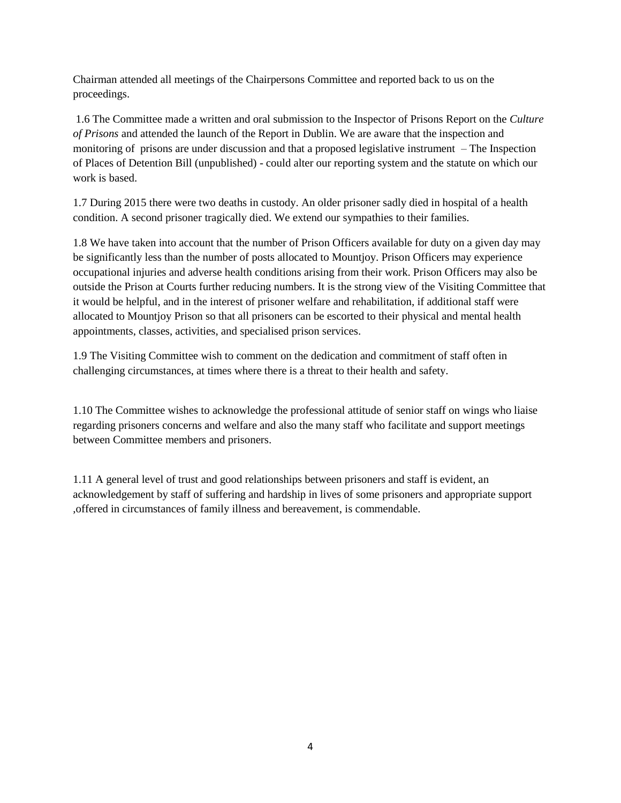Chairman attended all meetings of the Chairpersons Committee and reported back to us on the proceedings.

1.6 The Committee made a written and oral submission to the Inspector of Prisons Report on the *Culture of Prisons* and attended the launch of the Report in Dublin. We are aware that the inspection and monitoring of prisons are under discussion and that a proposed legislative instrument – The Inspection of Places of Detention Bill (unpublished) - could alter our reporting system and the statute on which our work is based.

1.7 During 2015 there were two deaths in custody. An older prisoner sadly died in hospital of a health condition. A second prisoner tragically died. We extend our sympathies to their families.

1.8 We have taken into account that the number of Prison Officers available for duty on a given day may be significantly less than the number of posts allocated to Mountjoy. Prison Officers may experience occupational injuries and adverse health conditions arising from their work. Prison Officers may also be outside the Prison at Courts further reducing numbers. It is the strong view of the Visiting Committee that it would be helpful, and in the interest of prisoner welfare and rehabilitation, if additional staff were allocated to Mountjoy Prison so that all prisoners can be escorted to their physical and mental health appointments, classes, activities, and specialised prison services.

1.9 The Visiting Committee wish to comment on the dedication and commitment of staff often in challenging circumstances, at times where there is a threat to their health and safety.

1.10 The Committee wishes to acknowledge the professional attitude of senior staff on wings who liaise regarding prisoners concerns and welfare and also the many staff who facilitate and support meetings between Committee members and prisoners.

1.11 A general level of trust and good relationships between prisoners and staff is evident, an acknowledgement by staff of suffering and hardship in lives of some prisoners and appropriate support ,offered in circumstances of family illness and bereavement, is commendable.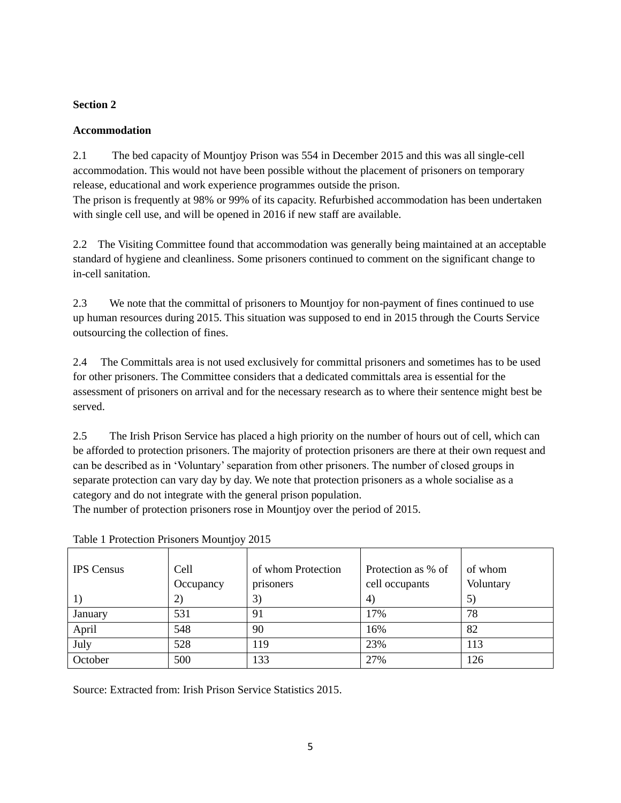# **Accommodation**

2.1 The bed capacity of Mountjoy Prison was 554 in December 2015 and this was all single-cell accommodation. This would not have been possible without the placement of prisoners on temporary release, educational and work experience programmes outside the prison. The prison is frequently at 98% or 99% of its capacity. Refurbished accommodation has been undertaken with single cell use, and will be opened in 2016 if new staff are available.

2.2 The Visiting Committee found that accommodation was generally being maintained at an acceptable standard of hygiene and cleanliness. Some prisoners continued to comment on the significant change to in-cell sanitation.

2.3 We note that the committal of prisoners to Mountjoy for non-payment of fines continued to use up human resources during 2015. This situation was supposed to end in 2015 through the Courts Service outsourcing the collection of fines.

2.4 The Committals area is not used exclusively for committal prisoners and sometimes has to be used for other prisoners. The Committee considers that a dedicated committals area is essential for the assessment of prisoners on arrival and for the necessary research as to where their sentence might best be served.

2.5 The Irish Prison Service has placed a high priority on the number of hours out of cell, which can be afforded to protection prisoners. The majority of protection prisoners are there at their own request and can be described as in 'Voluntary' separation from other prisoners. The number of closed groups in separate protection can vary day by day. We note that protection prisoners as a whole socialise as a category and do not integrate with the general prison population.

The number of protection prisoners rose in Mountjoy over the period of 2015.

| <b>IPS</b> Census | Cell      | of whom Protection | Protection as % of | of whom   |
|-------------------|-----------|--------------------|--------------------|-----------|
|                   | Occupancy | prisoners          | cell occupants     | Voluntary |
|                   | 2)        | 3)                 | $\ket{4}$          | 5)        |
| January           | 531       | 91                 | 17%                | 78        |
| April             | 548       | 90                 | 16%                | 82        |
| July              | 528       | 119                | 23%                | 113       |
| October           | 500       | 133                | 27%                | 126       |

Table 1 Protection Prisoners Mountjoy 2015

Source: Extracted from: Irish Prison Service Statistics 2015.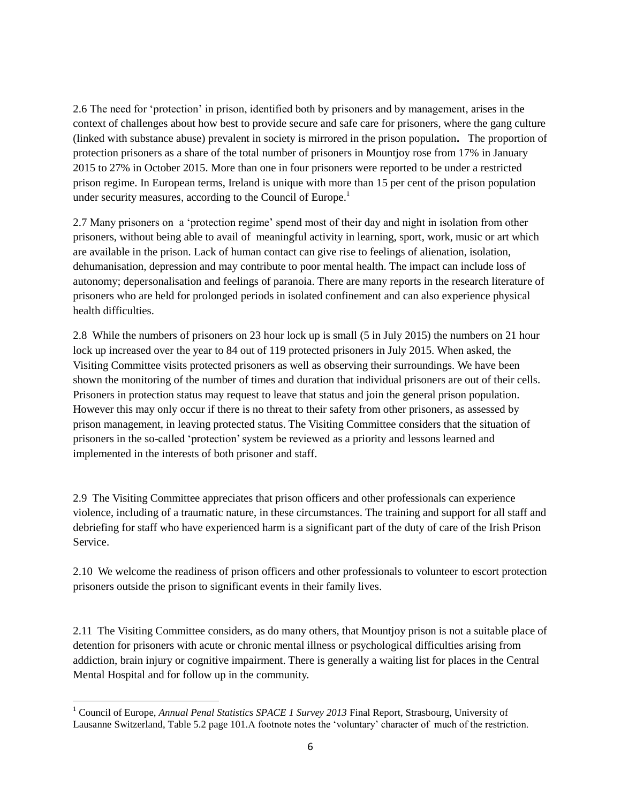2.6 The need for 'protection' in prison, identified both by prisoners and by management, arises in the context of challenges about how best to provide secure and safe care for prisoners, where the gang culture (linked with substance abuse) prevalent in society is mirrored in the prison population**.** The proportion of protection prisoners as a share of the total number of prisoners in Mountjoy rose from 17% in January 2015 to 27% in October 2015. More than one in four prisoners were reported to be under a restricted prison regime. In European terms, Ireland is unique with more than 15 per cent of the prison population under security measures, according to the Council of Europe.<sup>1</sup>

2.7 Many prisoners on a 'protection regime' spend most of their day and night in isolation from other prisoners, without being able to avail of meaningful activity in learning, sport, work, music or art which are available in the prison. Lack of human contact can give rise to feelings of alienation, isolation, dehumanisation, depression and may contribute to poor mental health. The impact can include loss of autonomy; depersonalisation and feelings of paranoia. There are many reports in the research literature of prisoners who are held for prolonged periods in isolated confinement and can also experience physical health difficulties.

2.8 While the numbers of prisoners on 23 hour lock up is small (5 in July 2015) the numbers on 21 hour lock up increased over the year to 84 out of 119 protected prisoners in July 2015. When asked, the Visiting Committee visits protected prisoners as well as observing their surroundings. We have been shown the monitoring of the number of times and duration that individual prisoners are out of their cells. Prisoners in protection status may request to leave that status and join the general prison population. However this may only occur if there is no threat to their safety from other prisoners, as assessed by prison management, in leaving protected status. The Visiting Committee considers that the situation of prisoners in the so-called 'protection' system be reviewed as a priority and lessons learned and implemented in the interests of both prisoner and staff.

2.9 The Visiting Committee appreciates that prison officers and other professionals can experience violence, including of a traumatic nature, in these circumstances. The training and support for all staff and debriefing for staff who have experienced harm is a significant part of the duty of care of the Irish Prison Service.

2.10 We welcome the readiness of prison officers and other professionals to volunteer to escort protection prisoners outside the prison to significant events in their family lives.

2.11 The Visiting Committee considers, as do many others, that Mountjoy prison is not a suitable place of detention for prisoners with acute or chronic mental illness or psychological difficulties arising from addiction, brain injury or cognitive impairment. There is generally a waiting list for places in the Central Mental Hospital and for follow up in the community.

 $\overline{\phantom{a}}$ 

<sup>&</sup>lt;sup>1</sup> Council of Europe, *Annual Penal Statistics SPACE 1 Survey 2013* Final Report, Strasbourg, University of Lausanne Switzerland, Table 5.2 page 101.A footnote notes the 'voluntary' character of much of the restriction.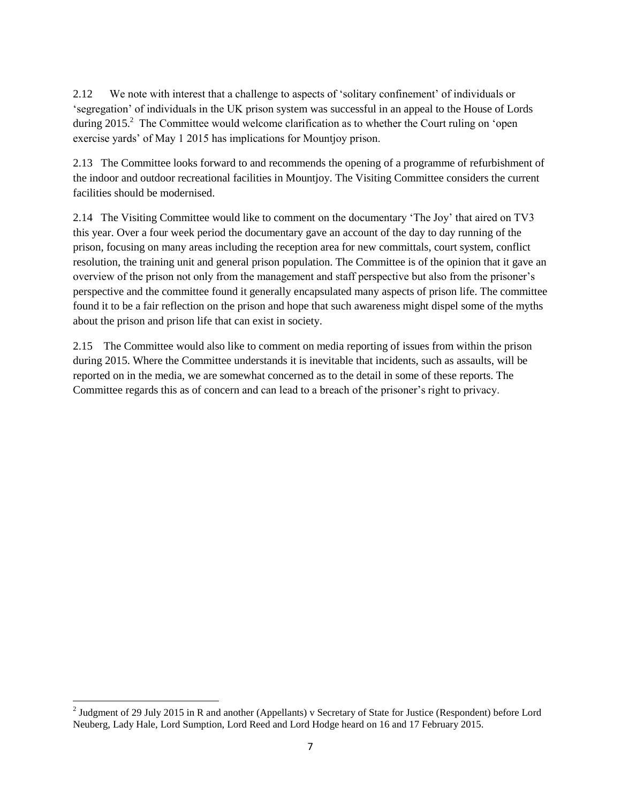2.12 We note with interest that a challenge to aspects of 'solitary confinement' of individuals or 'segregation' of individuals in the UK prison system was successful in an appeal to the House of Lords during 2015.<sup>2</sup> The Committee would welcome clarification as to whether the Court ruling on 'open exercise yards' of May 1 2015 has implications for Mountjoy prison.

2.13 The Committee looks forward to and recommends the opening of a programme of refurbishment of the indoor and outdoor recreational facilities in Mountjoy. The Visiting Committee considers the current facilities should be modernised.

2.14 The Visiting Committee would like to comment on the documentary 'The Joy' that aired on TV3 this year. Over a four week period the documentary gave an account of the day to day running of the prison, focusing on many areas including the reception area for new committals, court system, conflict resolution, the training unit and general prison population. The Committee is of the opinion that it gave an overview of the prison not only from the management and staff perspective but also from the prisoner's perspective and the committee found it generally encapsulated many aspects of prison life. The committee found it to be a fair reflection on the prison and hope that such awareness might dispel some of the myths about the prison and prison life that can exist in society.

2.15 The Committee would also like to comment on media reporting of issues from within the prison during 2015. Where the Committee understands it is inevitable that incidents, such as assaults, will be reported on in the media, we are somewhat concerned as to the detail in some of these reports. The Committee regards this as of concern and can lead to a breach of the prisoner's right to privacy.

<sup>&</sup>lt;sup>2</sup> Judgment of 29 July 2015 in R and another (Appellants) v Secretary of State for Justice (Respondent) before Lord Neuberg, Lady Hale, Lord Sumption, Lord Reed and Lord Hodge heard on 16 and 17 February 2015.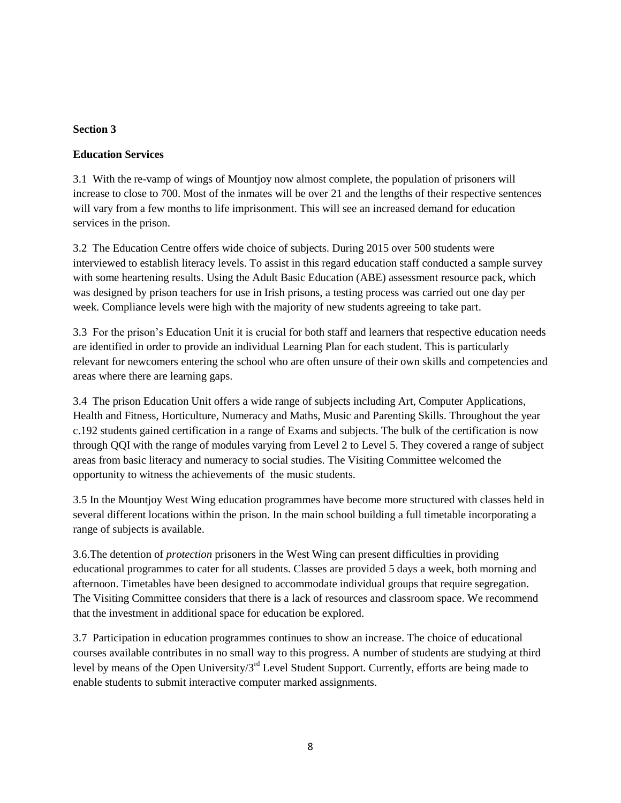## **Education Services**

3.1 With the re-vamp of wings of Mountjoy now almost complete, the population of prisoners will increase to close to 700. Most of the inmates will be over 21 and the lengths of their respective sentences will vary from a few months to life imprisonment. This will see an increased demand for education services in the prison.

3.2 The Education Centre offers wide choice of subjects. During 2015 over 500 students were interviewed to establish literacy levels. To assist in this regard education staff conducted a sample survey with some heartening results. Using the Adult Basic Education (ABE) assessment resource pack, which was designed by prison teachers for use in Irish prisons, a testing process was carried out one day per week. Compliance levels were high with the majority of new students agreeing to take part.

3.3 For the prison's Education Unit it is crucial for both staff and learners that respective education needs are identified in order to provide an individual Learning Plan for each student. This is particularly relevant for newcomers entering the school who are often unsure of their own skills and competencies and areas where there are learning gaps.

3.4 The prison Education Unit offers a wide range of subjects including Art, Computer Applications, Health and Fitness, Horticulture, Numeracy and Maths, Music and Parenting Skills. Throughout the year c.192 students gained certification in a range of Exams and subjects. The bulk of the certification is now through QQI with the range of modules varying from Level 2 to Level 5. They covered a range of subject areas from basic literacy and numeracy to social studies. The Visiting Committee welcomed the opportunity to witness the achievements of the music students.

3.5 In the Mountjoy West Wing education programmes have become more structured with classes held in several different locations within the prison. In the main school building a full timetable incorporating a range of subjects is available.

3.6.The detention of *protection* prisoners in the West Wing can present difficulties in providing educational programmes to cater for all students. Classes are provided 5 days a week, both morning and afternoon. Timetables have been designed to accommodate individual groups that require segregation. The Visiting Committee considers that there is a lack of resources and classroom space. We recommend that the investment in additional space for education be explored.

3.7 Participation in education programmes continues to show an increase. The choice of educational courses available contributes in no small way to this progress. A number of students are studying at third level by means of the Open University/3<sup>rd</sup> Level Student Support. Currently, efforts are being made to enable students to submit interactive computer marked assignments.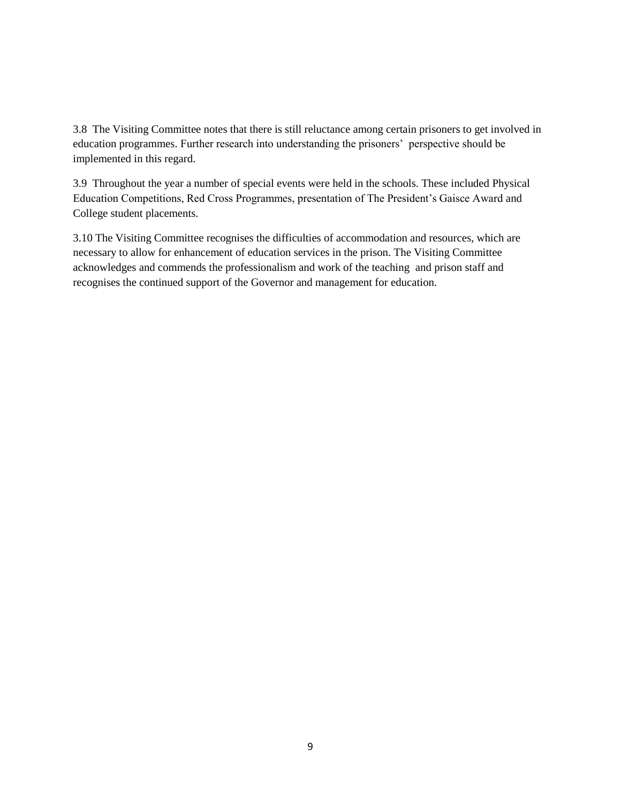3.8 The Visiting Committee notes that there is still reluctance among certain prisoners to get involved in education programmes. Further research into understanding the prisoners' perspective should be implemented in this regard.

3.9 Throughout the year a number of special events were held in the schools. These included Physical Education Competitions, Red Cross Programmes, presentation of The President's Gaisce Award and College student placements.

3.10 The Visiting Committee recognises the difficulties of accommodation and resources, which are necessary to allow for enhancement of education services in the prison. The Visiting Committee acknowledges and commends the professionalism and work of the teaching and prison staff and recognises the continued support of the Governor and management for education.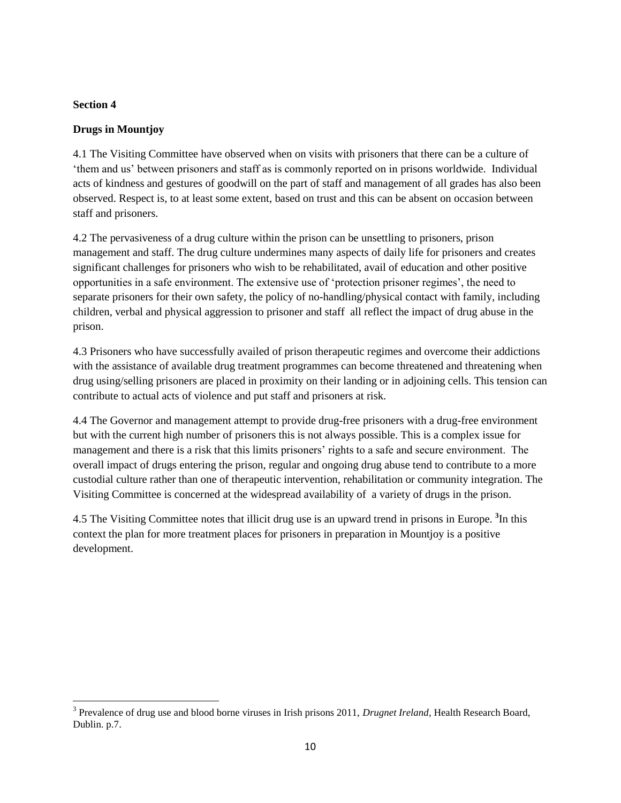# **Drugs in Mountjoy**

4.1 The Visiting Committee have observed when on visits with prisoners that there can be a culture of 'them and us' between prisoners and staff as is commonly reported on in prisons worldwide. Individual acts of kindness and gestures of goodwill on the part of staff and management of all grades has also been observed. Respect is, to at least some extent, based on trust and this can be absent on occasion between staff and prisoners.

4.2 The pervasiveness of a drug culture within the prison can be unsettling to prisoners, prison management and staff. The drug culture undermines many aspects of daily life for prisoners and creates significant challenges for prisoners who wish to be rehabilitated, avail of education and other positive opportunities in a safe environment. The extensive use of 'protection prisoner regimes', the need to separate prisoners for their own safety, the policy of no-handling/physical contact with family, including children, verbal and physical aggression to prisoner and staff all reflect the impact of drug abuse in the prison.

4.3 Prisoners who have successfully availed of prison therapeutic regimes and overcome their addictions with the assistance of available drug treatment programmes can become threatened and threatening when drug using/selling prisoners are placed in proximity on their landing or in adjoining cells. This tension can contribute to actual acts of violence and put staff and prisoners at risk.

4.4 The Governor and management attempt to provide drug-free prisoners with a drug-free environment but with the current high number of prisoners this is not always possible. This is a complex issue for management and there is a risk that this limits prisoners' rights to a safe and secure environment. The overall impact of drugs entering the prison, regular and ongoing drug abuse tend to contribute to a more custodial culture rather than one of therapeutic intervention, rehabilitation or community integration. The Visiting Committee is concerned at the widespread availability of a variety of drugs in the prison.

4.5 The Visiting Committee notes that illicit drug use is an upward trend in prisons in Europe. **<sup>3</sup>** In this context the plan for more treatment places for prisoners in preparation in Mountjoy is a positive development.

<sup>&</sup>lt;sup>3</sup> Prevalence of drug use and blood borne viruses in Irish prisons 2011, *Drugnet Ireland*, Health Research Board, Dublin. p.7.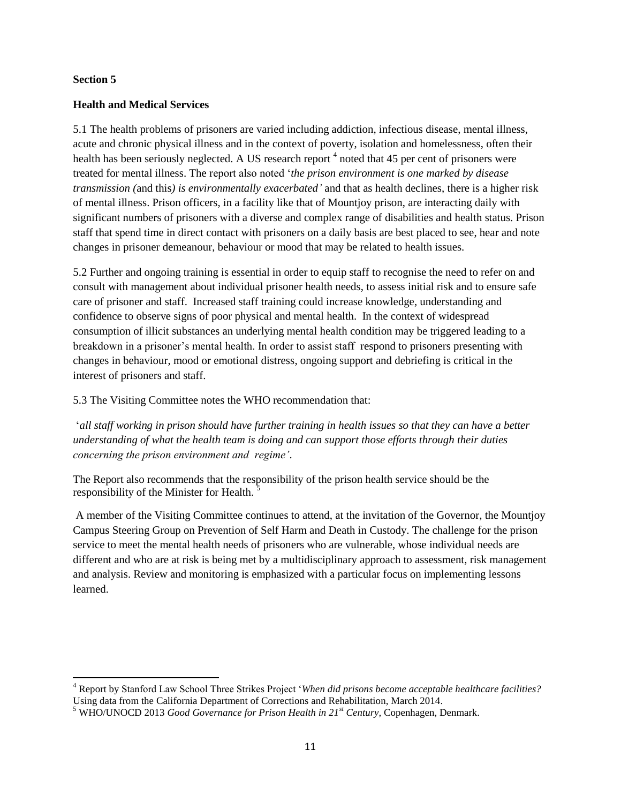$\overline{a}$ 

## **Health and Medical Services**

5.1 The health problems of prisoners are varied including addiction, infectious disease, mental illness, acute and chronic physical illness and in the context of poverty, isolation and homelessness, often their health has been seriously neglected. A US research report <sup>4</sup> noted that 45 per cent of prisoners were treated for mental illness. The report also noted '*the prison environment is one marked by disease transmission (*and this*) is environmentally exacerbated'* and that as health declines, there is a higher risk of mental illness. Prison officers, in a facility like that of Mountjoy prison, are interacting daily with significant numbers of prisoners with a diverse and complex range of disabilities and health status. Prison staff that spend time in direct contact with prisoners on a daily basis are best placed to see, hear and note changes in prisoner demeanour, behaviour or mood that may be related to health issues.

5.2 Further and ongoing training is essential in order to equip staff to recognise the need to refer on and consult with management about individual prisoner health needs, to assess initial risk and to ensure safe care of prisoner and staff. Increased staff training could increase knowledge, understanding and confidence to observe signs of poor physical and mental health. In the context of widespread consumption of illicit substances an underlying mental health condition may be triggered leading to a breakdown in a prisoner's mental health. In order to assist staff respond to prisoners presenting with changes in behaviour, mood or emotional distress, ongoing support and debriefing is critical in the interest of prisoners and staff.

5.3 The Visiting Committee notes the WHO recommendation that:

'*all staff working in prison should have further training in health issues so that they can have a better understanding of what the health team is doing and can support those efforts through their duties concerning the prison environment and regime'*.

The Report also recommends that the responsibility of the prison health service should be the responsibility of the Minister for Health.<sup>5</sup>

A member of the Visiting Committee continues to attend, at the invitation of the Governor, the Mountjoy Campus Steering Group on Prevention of Self Harm and Death in Custody. The challenge for the prison service to meet the mental health needs of prisoners who are vulnerable, whose individual needs are different and who are at risk is being met by a multidisciplinary approach to assessment, risk management and analysis. Review and monitoring is emphasized with a particular focus on implementing lessons learned.

<sup>4</sup> Report by Stanford Law School Three Strikes Project '*When did prisons become acceptable healthcare facilities?* Using data from the California Department of Corrections and Rehabilitation, March 2014.

<sup>5</sup> WHO/UNOCD 2013 *Good Governance for Prison Health in 21st Century,* Copenhagen, Denmark.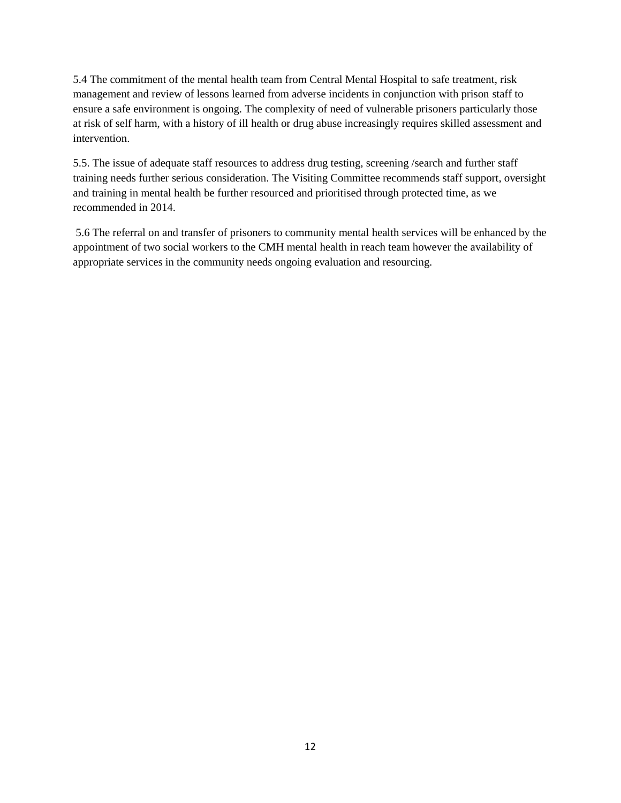5.4 The commitment of the mental health team from Central Mental Hospital to safe treatment, risk management and review of lessons learned from adverse incidents in conjunction with prison staff to ensure a safe environment is ongoing. The complexity of need of vulnerable prisoners particularly those at risk of self harm, with a history of ill health or drug abuse increasingly requires skilled assessment and intervention.

5.5. The issue of adequate staff resources to address drug testing, screening /search and further staff training needs further serious consideration. The Visiting Committee recommends staff support, oversight and training in mental health be further resourced and prioritised through protected time, as we recommended in 2014.

5.6 The referral on and transfer of prisoners to community mental health services will be enhanced by the appointment of two social workers to the CMH mental health in reach team however the availability of appropriate services in the community needs ongoing evaluation and resourcing.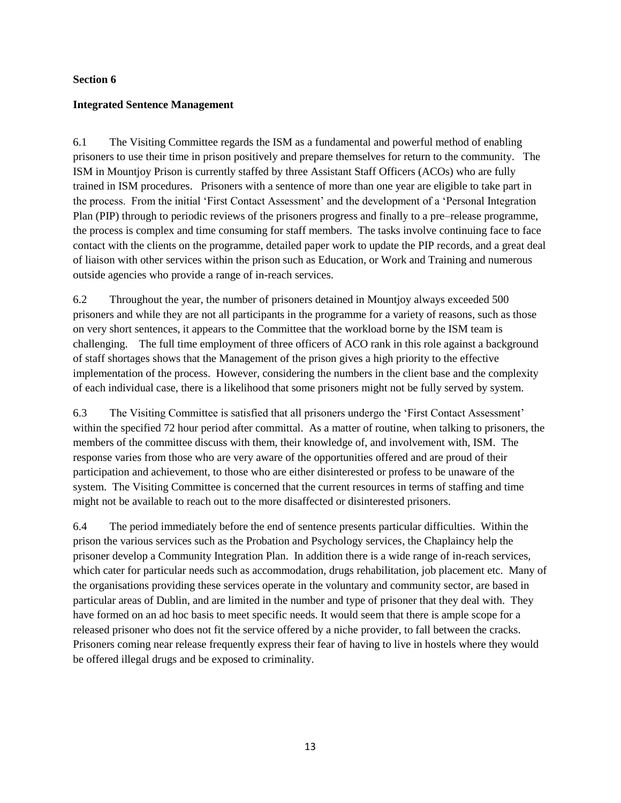## **Integrated Sentence Management**

6.1 The Visiting Committee regards the ISM as a fundamental and powerful method of enabling prisoners to use their time in prison positively and prepare themselves for return to the community. The ISM in Mountjoy Prison is currently staffed by three Assistant Staff Officers (ACOs) who are fully trained in ISM procedures. Prisoners with a sentence of more than one year are eligible to take part in the process. From the initial 'First Contact Assessment' and the development of a 'Personal Integration Plan (PIP) through to periodic reviews of the prisoners progress and finally to a pre–release programme, the process is complex and time consuming for staff members. The tasks involve continuing face to face contact with the clients on the programme, detailed paper work to update the PIP records, and a great deal of liaison with other services within the prison such as Education, or Work and Training and numerous outside agencies who provide a range of in-reach services.

6.2 Throughout the year, the number of prisoners detained in Mountjoy always exceeded 500 prisoners and while they are not all participants in the programme for a variety of reasons, such as those on very short sentences, it appears to the Committee that the workload borne by the ISM team is challenging. The full time employment of three officers of ACO rank in this role against a background of staff shortages shows that the Management of the prison gives a high priority to the effective implementation of the process. However, considering the numbers in the client base and the complexity of each individual case, there is a likelihood that some prisoners might not be fully served by system.

6.3 The Visiting Committee is satisfied that all prisoners undergo the 'First Contact Assessment' within the specified 72 hour period after committal. As a matter of routine, when talking to prisoners, the members of the committee discuss with them, their knowledge of, and involvement with, ISM. The response varies from those who are very aware of the opportunities offered and are proud of their participation and achievement, to those who are either disinterested or profess to be unaware of the system. The Visiting Committee is concerned that the current resources in terms of staffing and time might not be available to reach out to the more disaffected or disinterested prisoners.

6.4 The period immediately before the end of sentence presents particular difficulties. Within the prison the various services such as the Probation and Psychology services, the Chaplaincy help the prisoner develop a Community Integration Plan. In addition there is a wide range of in-reach services, which cater for particular needs such as accommodation, drugs rehabilitation, job placement etc. Many of the organisations providing these services operate in the voluntary and community sector, are based in particular areas of Dublin, and are limited in the number and type of prisoner that they deal with. They have formed on an ad hoc basis to meet specific needs. It would seem that there is ample scope for a released prisoner who does not fit the service offered by a niche provider, to fall between the cracks. Prisoners coming near release frequently express their fear of having to live in hostels where they would be offered illegal drugs and be exposed to criminality.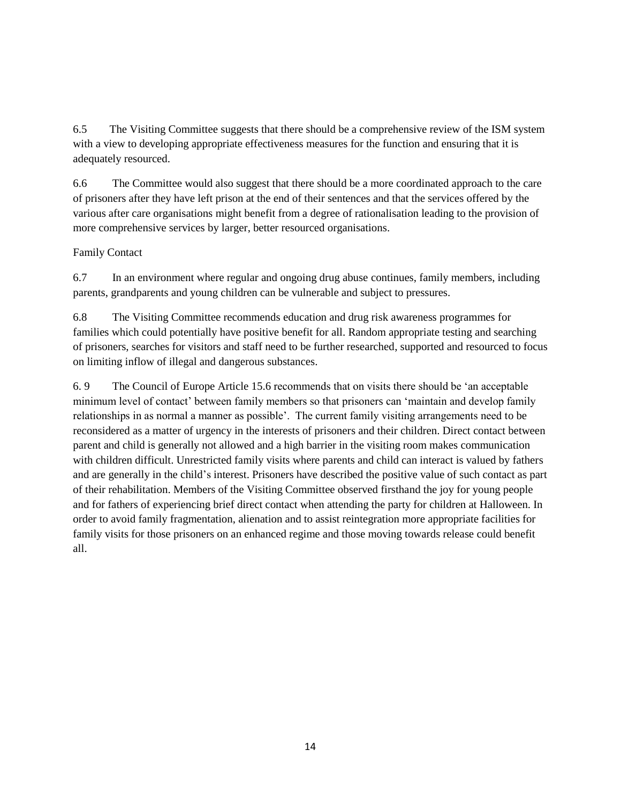6.5 The Visiting Committee suggests that there should be a comprehensive review of the ISM system with a view to developing appropriate effectiveness measures for the function and ensuring that it is adequately resourced.

6.6 The Committee would also suggest that there should be a more coordinated approach to the care of prisoners after they have left prison at the end of their sentences and that the services offered by the various after care organisations might benefit from a degree of rationalisation leading to the provision of more comprehensive services by larger, better resourced organisations.

## Family Contact

6.7 In an environment where regular and ongoing drug abuse continues, family members, including parents, grandparents and young children can be vulnerable and subject to pressures.

6.8 The Visiting Committee recommends education and drug risk awareness programmes for families which could potentially have positive benefit for all. Random appropriate testing and searching of prisoners, searches for visitors and staff need to be further researched, supported and resourced to focus on limiting inflow of illegal and dangerous substances.

6. 9 The Council of Europe Article 15.6 recommends that on visits there should be 'an acceptable minimum level of contact' between family members so that prisoners can 'maintain and develop family relationships in as normal a manner as possible'. The current family visiting arrangements need to be reconsidered as a matter of urgency in the interests of prisoners and their children. Direct contact between parent and child is generally not allowed and a high barrier in the visiting room makes communication with children difficult. Unrestricted family visits where parents and child can interact is valued by fathers and are generally in the child's interest. Prisoners have described the positive value of such contact as part of their rehabilitation. Members of the Visiting Committee observed firsthand the joy for young people and for fathers of experiencing brief direct contact when attending the party for children at Halloween. In order to avoid family fragmentation, alienation and to assist reintegration more appropriate facilities for family visits for those prisoners on an enhanced regime and those moving towards release could benefit all.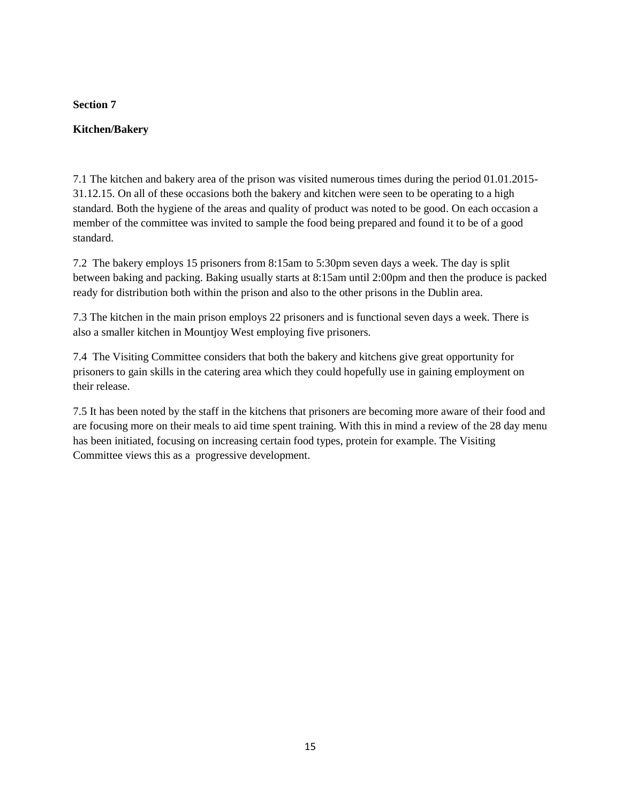# **Kitchen/Bakery**

7.1 The kitchen and bakery area of the prison was visited numerous times during the period 01.01.2015- 31.12.15. On all of these occasions both the bakery and kitchen were seen to be operating to a high standard. Both the hygiene of the areas and quality of product was noted to be good. On each occasion a member of the committee was invited to sample the food being prepared and found it to be of a good standard.

7.2 The bakery employs 15 prisoners from 8:15am to 5:30pm seven days a week. The day is split between baking and packing. Baking usually starts at 8:15am until 2:00pm and then the produce is packed ready for distribution both within the prison and also to the other prisons in the Dublin area.

7.3 The kitchen in the main prison employs 22 prisoners and is functional seven days a week. There is also a smaller kitchen in Mountjoy West employing five prisoners.

7.4 The Visiting Committee considers that both the bakery and kitchens give great opportunity for prisoners to gain skills in the catering area which they could hopefully use in gaining employment on their release.

7.5 It has been noted by the staff in the kitchens that prisoners are becoming more aware of their food and are focusing more on their meals to aid time spent training. With this in mind a review of the 28 day menu has been initiated, focusing on increasing certain food types, protein for example. The Visiting Committee views this as a progressive development.